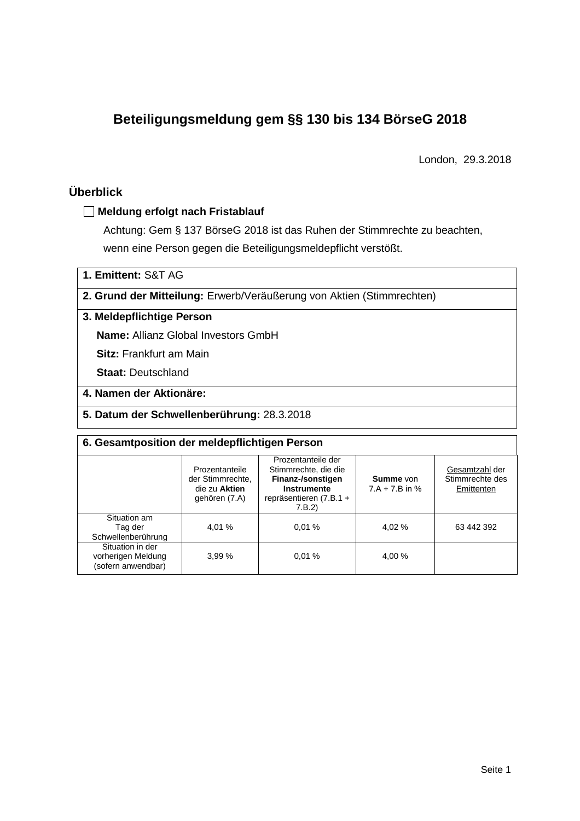# **Beteiligungsmeldung gem §§ 130 bis 134 BörseG 2018**

London, 29.3.2018

# **Überblick**

#### **Meldung erfolgt nach Fristablauf**

Achtung: Gem § 137 BörseG 2018 ist das Ruhen der Stimmrechte zu beachten, wenn eine Person gegen die Beteiligungsmeldepflicht verstößt.

**1. Emittent:** S&T AG

**2. Grund der Mitteilung:** Erwerb/Veräußerung von Aktien (Stimmrechten)

## **3. Meldepflichtige Person**

**Name:** Allianz Global Investors GmbH

**Sitz:** Frankfurt am Main

**Staat:** Deutschland

## **4. Namen der Aktionäre:**

#### **5. Datum der Schwellenberührung:** 28.3.2018

| 6. Gesamtposition der meldepflichtigen Person                |                                                                      |                                                                                                                      |                               |                                                 |  |  |  |
|--------------------------------------------------------------|----------------------------------------------------------------------|----------------------------------------------------------------------------------------------------------------------|-------------------------------|-------------------------------------------------|--|--|--|
|                                                              | Prozentanteile<br>der Stimmrechte.<br>die zu Aktien<br>gehören (7.A) | Prozentanteile der<br>Stimmrechte, die die<br>Finanz-/sonstigen<br>Instrumente<br>repräsentieren $(7.B.1 +$<br>7.B.2 | Summe von<br>$7.A + 7.B$ in % | Gesamtzahl der<br>Stimmrechte des<br>Emittenten |  |  |  |
| Situation am<br>Tag der<br>Schwellenberührung                | 4.01 %                                                               | 0.01%                                                                                                                | 4.02 %                        | 63 442 392                                      |  |  |  |
| Situation in der<br>vorherigen Meldung<br>(sofern anwendbar) | 3.99%                                                                | 0.01%                                                                                                                | 4,00 %                        |                                                 |  |  |  |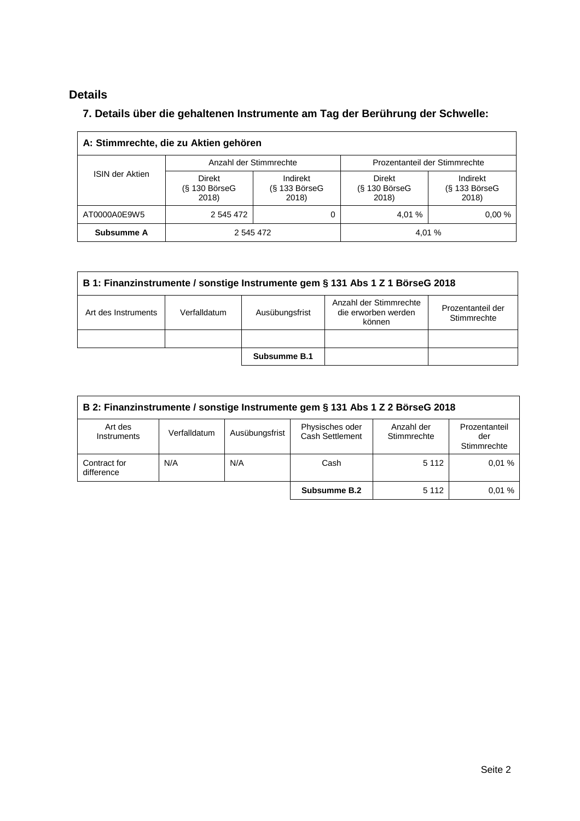# **Details**

 $\overline{\Gamma}$ 

# **7. Details über die gehaltenen Instrumente am Tag der Berührung der Schwelle:**

| A: Stimmrechte, die zu Aktien gehören |                                       |                                      |                                         |                                         |  |  |  |  |
|---------------------------------------|---------------------------------------|--------------------------------------|-----------------------------------------|-----------------------------------------|--|--|--|--|
| <b>ISIN der Aktien</b>                | Anzahl der Stimmrechte                |                                      | Prozentanteil der Stimmrechte           |                                         |  |  |  |  |
|                                       | Direkt<br>$(S$ 130 Börse $G$<br>2018) | Indirekt<br>$(S$ 133 BörseG<br>2018) | <b>Direkt</b><br>(§ 130 BörseG<br>2018) | Indirekt<br>$(S$ 133 Börse $G$<br>2018) |  |  |  |  |
| AT0000A0E9W5                          | 2 545 472                             |                                      | 4.01 %                                  | 0.00%                                   |  |  |  |  |
| Subsumme A                            | 2 545 472                             |                                      |                                         | 4.01 %                                  |  |  |  |  |

| B 1: Finanzinstrumente / sonstige Instrumente gem § 131 Abs 1 Z 1 BörseG 2018                                                                        |  |              |  |  |  |  |
|------------------------------------------------------------------------------------------------------------------------------------------------------|--|--------------|--|--|--|--|
| Anzahl der Stimmrechte<br>Prozentanteil der<br>Ausübungsfrist<br>die erworben werden<br>Verfalldatum<br>Art des Instruments<br>Stimmrechte<br>können |  |              |  |  |  |  |
|                                                                                                                                                      |  |              |  |  |  |  |
|                                                                                                                                                      |  | Subsumme B.1 |  |  |  |  |

| B 2: Finanzinstrumente / sonstige Instrumente gem § 131 Abs 1 Z 2 BörseG 2018 |              |                |                                    |                           |                                     |  |
|-------------------------------------------------------------------------------|--------------|----------------|------------------------------------|---------------------------|-------------------------------------|--|
| Art des<br>Instruments                                                        | Verfalldatum | Ausübungsfrist | Physisches oder<br>Cash Settlement | Anzahl der<br>Stimmrechte | Prozentanteil<br>der<br>Stimmrechte |  |
| Contract for<br>difference                                                    | N/A          | N/A            | Cash                               | 5 1 1 2                   | 0.01%                               |  |
|                                                                               |              |                | Subsumme B.2                       | 5 1 1 2                   | 0.01%                               |  |

 $\overline{\phantom{a}}$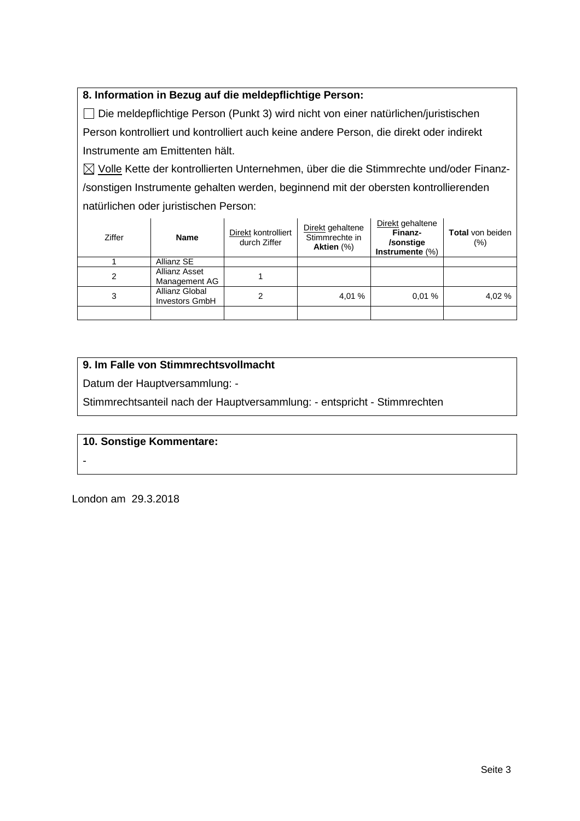## **8. Information in Bezug auf die meldepflichtige Person:**

 Die meldepflichtige Person (Punkt 3) wird nicht von einer natürlichen/juristischen Person kontrolliert und kontrolliert auch keine andere Person, die direkt oder indirekt Instrumente am Emittenten hält.

 $\boxtimes$  Volle Kette der kontrollierten Unternehmen, über die die Stimmrechte und/oder Finanz-/sonstigen Instrumente gehalten werden, beginnend mit der obersten kontrollierenden natürlichen oder juristischen Person:

| Ziffer | <b>Name</b>                             | Direkt kontrolliert<br>durch Ziffer | Direkt gehaltene<br>Stimmrechte in<br>Aktien $(\%)$ | Direkt gehaltene<br>Finanz-<br>/sonstige<br>Instrumente $(\%)$ | <b>Total</b> von beiden<br>$(\% )$ |
|--------|-----------------------------------------|-------------------------------------|-----------------------------------------------------|----------------------------------------------------------------|------------------------------------|
|        | Allianz SE                              |                                     |                                                     |                                                                |                                    |
| 2      | Allianz Asset<br>Management AG          |                                     |                                                     |                                                                |                                    |
| 3      | Allianz Global<br><b>Investors GmbH</b> | 2                                   | 4,01 %                                              | 0.01%                                                          | 4,02 %                             |
|        |                                         |                                     |                                                     |                                                                |                                    |

### **9. Im Falle von Stimmrechtsvollmacht**

Datum der Hauptversammlung: -

Stimmrechtsanteil nach der Hauptversammlung: - entspricht - Stimmrechten

#### **10. Sonstige Kommentare:**

London am 29.3.2018

-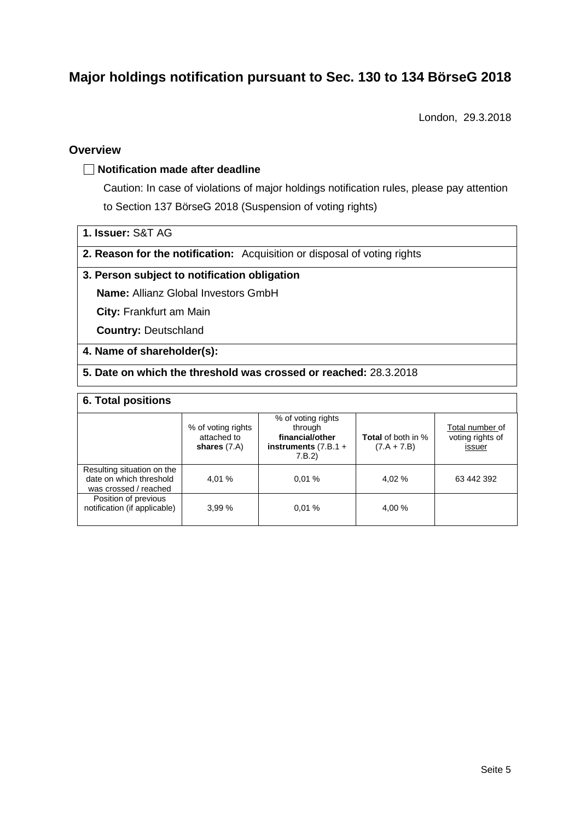# **Major holdings notification pursuant to Sec. 130 to 134 BörseG 2018**

London, 29.3.2018

### **Overview**

#### **Notification made after deadline**

Caution: In case of violations of major holdings notification rules, please pay attention to Section 137 BörseG 2018 (Suspension of voting rights)

- **1. Issuer:** S&T AG
- **2. Reason for the notification:** Acquisition or disposal of voting rights

### **3. Person subject to notification obligation**

**Name:** Allianz Global Investors GmbH

**City:** Frankfurt am Main

**Country:** Deutschland

#### **4. Name of shareholder(s):**

### **5. Date on which the threshold was crossed or reached:** 28.3.2018

#### **6. Total positions**

|                                                                                | % of voting rights<br>attached to<br>shares $(7.A)$ | % of voting rights<br>through<br>financial/other<br>instruments $(7.B.1 +$<br>7.B.2) | <b>Total</b> of both in %<br>$(7.A + 7.B)$ | Total number of<br>voting rights of<br>issuer |
|--------------------------------------------------------------------------------|-----------------------------------------------------|--------------------------------------------------------------------------------------|--------------------------------------------|-----------------------------------------------|
| Resulting situation on the<br>date on which threshold<br>was crossed / reached | 4.01 %                                              | 0.01%                                                                                | 4,02 %                                     | 63 442 392                                    |
| Position of previous<br>notification (if applicable)                           | 3.99%                                               | 0.01%                                                                                | 4,00 %                                     |                                               |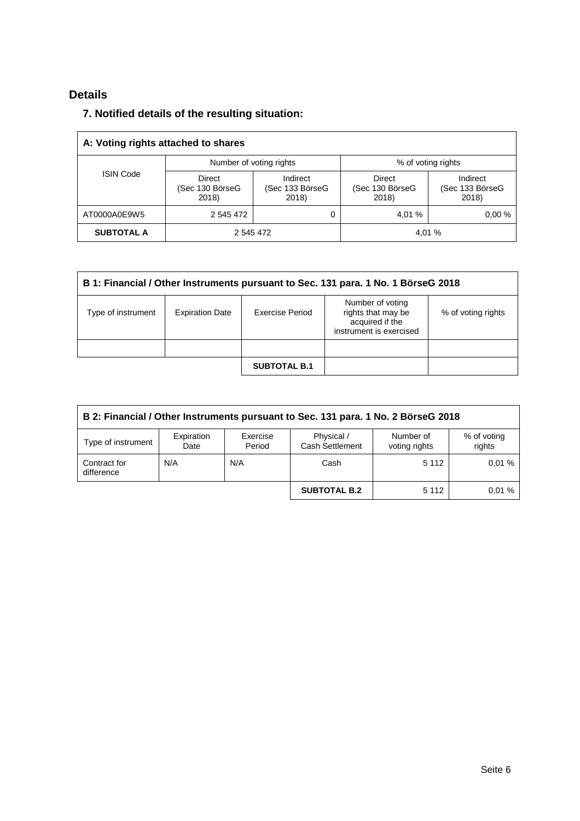# **Details**

## **7. Notified details of the resulting situation:**

| A: Voting rights attached to shares |                                           |                                      |                                           |                                      |  |  |  |
|-------------------------------------|-------------------------------------------|--------------------------------------|-------------------------------------------|--------------------------------------|--|--|--|
|                                     | Number of voting rights                   |                                      | % of voting rights                        |                                      |  |  |  |
| <b>ISIN Code</b>                    | <b>Direct</b><br>(Sec 130 BörseG<br>2018) | Indirect<br>(Sec 133 BörseG<br>2018) | <b>Direct</b><br>(Sec 130 BörseG<br>2018) | Indirect<br>(Sec 133 BörseG<br>2018) |  |  |  |
| AT0000A0E9W5                        | 2 545 472                                 | 0                                    | 4.01 %                                    | 0.00%                                |  |  |  |
| <b>SUBTOTAL A</b>                   | 4.01 %<br>2 545 472                       |                                      |                                           |                                      |  |  |  |

| B 1: Financial / Other Instruments pursuant to Sec. 131 para. 1 No. 1 BörseG 2018 |                        |                     |                                                                                      |                    |  |  |
|-----------------------------------------------------------------------------------|------------------------|---------------------|--------------------------------------------------------------------------------------|--------------------|--|--|
| Type of instrument                                                                | <b>Expiration Date</b> | Exercise Period     | Number of voting<br>rights that may be<br>acquired if the<br>instrument is exercised | % of voting rights |  |  |
|                                                                                   |                        |                     |                                                                                      |                    |  |  |
|                                                                                   |                        | <b>SUBTOTAL B.1</b> |                                                                                      |                    |  |  |

| B 2: Financial / Other Instruments pursuant to Sec. 131 para. 1 No. 2 BörseG 2018 |                    |                    |                               |                            |                       |  |
|-----------------------------------------------------------------------------------|--------------------|--------------------|-------------------------------|----------------------------|-----------------------|--|
| Type of instrument                                                                | Expiration<br>Date | Exercise<br>Period | Physical /<br>Cash Settlement | Number of<br>voting rights | % of voting<br>rights |  |
| Contract for<br>difference                                                        | N/A                | N/A                | Cash                          | 5 1 1 2                    | 0.01%                 |  |
|                                                                                   |                    |                    | <b>SUBTOTAL B.2</b>           | 5 1 1 2                    | 0.01%                 |  |